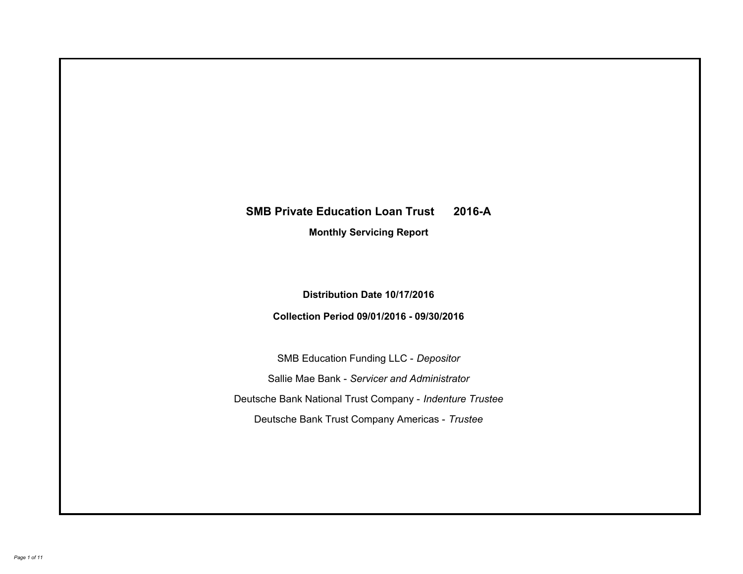# **SMB Private Education Loan Trust 2016-A Monthly Servicing Report**

# **Distribution Date 10/17/2016**

# **Collection Period 09/01/2016 - 09/30/2016**

SMB Education Funding LLC - *Depositor* Sallie Mae Bank - *Servicer and Administrator* Deutsche Bank National Trust Company - *Indenture Trustee* Deutsche Bank Trust Company Americas - *Trustee*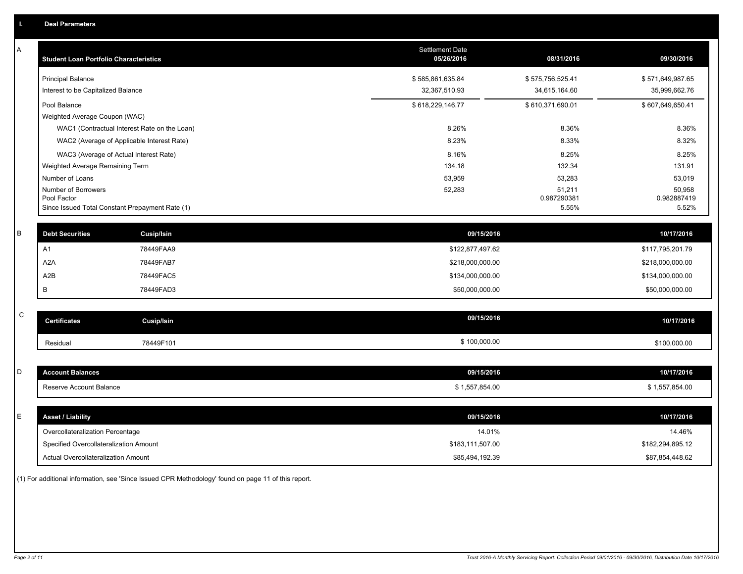| Α           | <b>Student Loan Portfolio Characteristics</b>   |                                              | Settlement Date<br>05/26/2016 | 08/31/2016            | 09/30/2016            |
|-------------|-------------------------------------------------|----------------------------------------------|-------------------------------|-----------------------|-----------------------|
|             | <b>Principal Balance</b>                        |                                              | \$585,861,635.84              | \$575,756,525.41      | \$571,649,987.65      |
|             | Interest to be Capitalized Balance              |                                              | 32,367,510.93                 | 34,615,164.60         | 35,999,662.76         |
|             | Pool Balance                                    |                                              | \$618,229,146.77              | \$610,371,690.01      | \$607,649,650.41      |
|             | Weighted Average Coupon (WAC)                   |                                              |                               |                       |                       |
|             |                                                 | WAC1 (Contractual Interest Rate on the Loan) | 8.26%                         | 8.36%                 | 8.36%                 |
|             |                                                 | WAC2 (Average of Applicable Interest Rate)   | 8.23%                         | 8.33%                 | 8.32%                 |
|             | WAC3 (Average of Actual Interest Rate)          |                                              | 8.16%                         | 8.25%                 | 8.25%                 |
|             | Weighted Average Remaining Term                 |                                              | 134.18                        | 132.34                | 131.91                |
|             | Number of Loans                                 |                                              | 53,959                        | 53,283                | 53,019                |
|             | Number of Borrowers<br>Pool Factor              |                                              | 52,283                        | 51,211<br>0.987290381 | 50,958<br>0.982887419 |
|             | Since Issued Total Constant Prepayment Rate (1) |                                              |                               | 5.55%                 | 5.52%                 |
|             |                                                 |                                              |                               |                       |                       |
| B           | <b>Debt Securities</b>                          | <b>Cusip/Isin</b>                            | 09/15/2016                    |                       | 10/17/2016            |
|             | A <sub>1</sub>                                  | 78449FAA9                                    | \$122,877,497.62              |                       | \$117,795,201.79      |
|             | A <sub>2</sub> A                                | 78449FAB7                                    | \$218,000,000.00              |                       | \$218,000,000.00      |
|             | A2B                                             | 78449FAC5                                    | \$134,000,000.00              |                       | \$134,000,000.00      |
|             | B                                               | 78449FAD3                                    | \$50,000,000.00               |                       | \$50,000,000.00       |
|             |                                                 |                                              |                               |                       |                       |
| $\mathbf C$ | <b>Certificates</b>                             | <b>Cusip/Isin</b>                            | 09/15/2016                    |                       | 10/17/2016            |
|             | Residual                                        | 78449F101                                    | \$100,000.00                  |                       | \$100,000.00          |
|             |                                                 |                                              |                               |                       |                       |
| D           | <b>Account Balances</b>                         |                                              | 09/15/2016                    |                       | 10/17/2016            |
|             | Reserve Account Balance                         |                                              | \$1,557,854.00                |                       | \$1,557,854.00        |
|             |                                                 |                                              |                               |                       |                       |
| E           | <b>Asset / Liability</b>                        |                                              | 09/15/2016                    |                       | 10/17/2016            |
|             | Overcollateralization Percentage                |                                              | 14.01%                        |                       | 14.46%                |
|             | Specified Overcollateralization Amount          |                                              | \$183,111,507.00              |                       | \$182,294,895.12      |
|             | Actual Overcollateralization Amount             |                                              | \$85,494,192.39               |                       | \$87,854,448.62       |

(1) For additional information, see 'Since Issued CPR Methodology' found on page 11 of this report.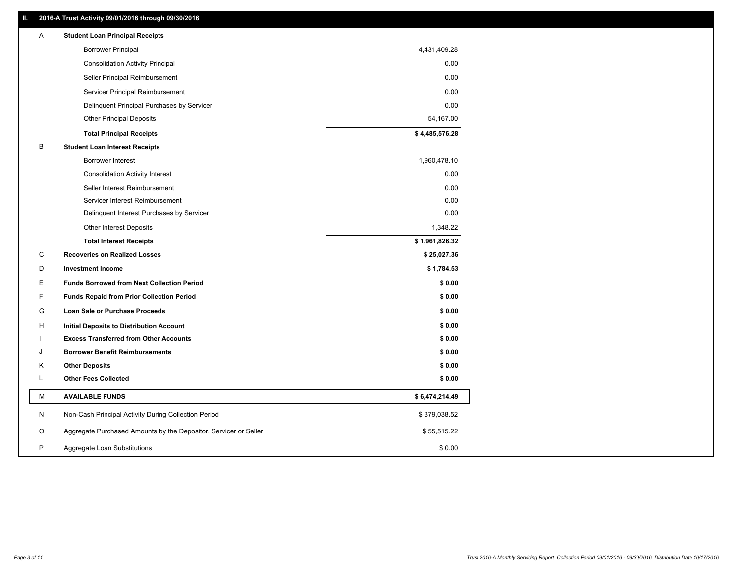# **II. 2016-A Trust Activity 09/01/2016 through 09/30/2016**

| <b>Borrower Principal</b><br>4,431,409.28<br><b>Consolidation Activity Principal</b><br>0.00<br>0.00<br>Seller Principal Reimbursement<br>0.00<br>Servicer Principal Reimbursement<br>0.00<br>Delinquent Principal Purchases by Servicer<br><b>Other Principal Deposits</b><br>54,167.00<br>\$4,485,576.28<br><b>Total Principal Receipts</b><br>B<br><b>Student Loan Interest Receipts</b><br>Borrower Interest<br>1,960,478.10<br>0.00<br><b>Consolidation Activity Interest</b><br>0.00<br>Seller Interest Reimbursement<br>0.00<br>Servicer Interest Reimbursement<br>0.00<br>Delinquent Interest Purchases by Servicer<br><b>Other Interest Deposits</b><br>1,348.22<br><b>Total Interest Receipts</b><br>\$1,961,826.32<br>C<br><b>Recoveries on Realized Losses</b><br>\$25,027.36<br>D<br><b>Investment Income</b><br>\$1,784.53<br>E<br><b>Funds Borrowed from Next Collection Period</b><br>\$0.00<br>F<br>\$0.00<br><b>Funds Repaid from Prior Collection Period</b><br>G<br>\$0.00<br>Loan Sale or Purchase Proceeds<br>\$0.00<br>н<br>Initial Deposits to Distribution Account<br><b>Excess Transferred from Other Accounts</b><br>\$0.00<br><b>Borrower Benefit Reimbursements</b><br>\$0.00<br>J<br><b>Other Deposits</b><br>\$0.00<br>Κ<br>L<br><b>Other Fees Collected</b><br>\$0.00<br>M<br><b>AVAILABLE FUNDS</b><br>\$6,474,214.49<br>N<br>Non-Cash Principal Activity During Collection Period<br>\$379,038.52<br>Aggregate Purchased Amounts by the Depositor, Servicer or Seller<br>\$55,515.22<br>O<br>P<br>\$0.00<br>Aggregate Loan Substitutions | Α | <b>Student Loan Principal Receipts</b> |  |
|----------------------------------------------------------------------------------------------------------------------------------------------------------------------------------------------------------------------------------------------------------------------------------------------------------------------------------------------------------------------------------------------------------------------------------------------------------------------------------------------------------------------------------------------------------------------------------------------------------------------------------------------------------------------------------------------------------------------------------------------------------------------------------------------------------------------------------------------------------------------------------------------------------------------------------------------------------------------------------------------------------------------------------------------------------------------------------------------------------------------------------------------------------------------------------------------------------------------------------------------------------------------------------------------------------------------------------------------------------------------------------------------------------------------------------------------------------------------------------------------------------------------------------------------------------------------------|---|----------------------------------------|--|
|                                                                                                                                                                                                                                                                                                                                                                                                                                                                                                                                                                                                                                                                                                                                                                                                                                                                                                                                                                                                                                                                                                                                                                                                                                                                                                                                                                                                                                                                                                                                                                            |   |                                        |  |
|                                                                                                                                                                                                                                                                                                                                                                                                                                                                                                                                                                                                                                                                                                                                                                                                                                                                                                                                                                                                                                                                                                                                                                                                                                                                                                                                                                                                                                                                                                                                                                            |   |                                        |  |
|                                                                                                                                                                                                                                                                                                                                                                                                                                                                                                                                                                                                                                                                                                                                                                                                                                                                                                                                                                                                                                                                                                                                                                                                                                                                                                                                                                                                                                                                                                                                                                            |   |                                        |  |
|                                                                                                                                                                                                                                                                                                                                                                                                                                                                                                                                                                                                                                                                                                                                                                                                                                                                                                                                                                                                                                                                                                                                                                                                                                                                                                                                                                                                                                                                                                                                                                            |   |                                        |  |
|                                                                                                                                                                                                                                                                                                                                                                                                                                                                                                                                                                                                                                                                                                                                                                                                                                                                                                                                                                                                                                                                                                                                                                                                                                                                                                                                                                                                                                                                                                                                                                            |   |                                        |  |
|                                                                                                                                                                                                                                                                                                                                                                                                                                                                                                                                                                                                                                                                                                                                                                                                                                                                                                                                                                                                                                                                                                                                                                                                                                                                                                                                                                                                                                                                                                                                                                            |   |                                        |  |
|                                                                                                                                                                                                                                                                                                                                                                                                                                                                                                                                                                                                                                                                                                                                                                                                                                                                                                                                                                                                                                                                                                                                                                                                                                                                                                                                                                                                                                                                                                                                                                            |   |                                        |  |
|                                                                                                                                                                                                                                                                                                                                                                                                                                                                                                                                                                                                                                                                                                                                                                                                                                                                                                                                                                                                                                                                                                                                                                                                                                                                                                                                                                                                                                                                                                                                                                            |   |                                        |  |
|                                                                                                                                                                                                                                                                                                                                                                                                                                                                                                                                                                                                                                                                                                                                                                                                                                                                                                                                                                                                                                                                                                                                                                                                                                                                                                                                                                                                                                                                                                                                                                            |   |                                        |  |
|                                                                                                                                                                                                                                                                                                                                                                                                                                                                                                                                                                                                                                                                                                                                                                                                                                                                                                                                                                                                                                                                                                                                                                                                                                                                                                                                                                                                                                                                                                                                                                            |   |                                        |  |
|                                                                                                                                                                                                                                                                                                                                                                                                                                                                                                                                                                                                                                                                                                                                                                                                                                                                                                                                                                                                                                                                                                                                                                                                                                                                                                                                                                                                                                                                                                                                                                            |   |                                        |  |
|                                                                                                                                                                                                                                                                                                                                                                                                                                                                                                                                                                                                                                                                                                                                                                                                                                                                                                                                                                                                                                                                                                                                                                                                                                                                                                                                                                                                                                                                                                                                                                            |   |                                        |  |
|                                                                                                                                                                                                                                                                                                                                                                                                                                                                                                                                                                                                                                                                                                                                                                                                                                                                                                                                                                                                                                                                                                                                                                                                                                                                                                                                                                                                                                                                                                                                                                            |   |                                        |  |
|                                                                                                                                                                                                                                                                                                                                                                                                                                                                                                                                                                                                                                                                                                                                                                                                                                                                                                                                                                                                                                                                                                                                                                                                                                                                                                                                                                                                                                                                                                                                                                            |   |                                        |  |
|                                                                                                                                                                                                                                                                                                                                                                                                                                                                                                                                                                                                                                                                                                                                                                                                                                                                                                                                                                                                                                                                                                                                                                                                                                                                                                                                                                                                                                                                                                                                                                            |   |                                        |  |
|                                                                                                                                                                                                                                                                                                                                                                                                                                                                                                                                                                                                                                                                                                                                                                                                                                                                                                                                                                                                                                                                                                                                                                                                                                                                                                                                                                                                                                                                                                                                                                            |   |                                        |  |
|                                                                                                                                                                                                                                                                                                                                                                                                                                                                                                                                                                                                                                                                                                                                                                                                                                                                                                                                                                                                                                                                                                                                                                                                                                                                                                                                                                                                                                                                                                                                                                            |   |                                        |  |
|                                                                                                                                                                                                                                                                                                                                                                                                                                                                                                                                                                                                                                                                                                                                                                                                                                                                                                                                                                                                                                                                                                                                                                                                                                                                                                                                                                                                                                                                                                                                                                            |   |                                        |  |
|                                                                                                                                                                                                                                                                                                                                                                                                                                                                                                                                                                                                                                                                                                                                                                                                                                                                                                                                                                                                                                                                                                                                                                                                                                                                                                                                                                                                                                                                                                                                                                            |   |                                        |  |
|                                                                                                                                                                                                                                                                                                                                                                                                                                                                                                                                                                                                                                                                                                                                                                                                                                                                                                                                                                                                                                                                                                                                                                                                                                                                                                                                                                                                                                                                                                                                                                            |   |                                        |  |
|                                                                                                                                                                                                                                                                                                                                                                                                                                                                                                                                                                                                                                                                                                                                                                                                                                                                                                                                                                                                                                                                                                                                                                                                                                                                                                                                                                                                                                                                                                                                                                            |   |                                        |  |
|                                                                                                                                                                                                                                                                                                                                                                                                                                                                                                                                                                                                                                                                                                                                                                                                                                                                                                                                                                                                                                                                                                                                                                                                                                                                                                                                                                                                                                                                                                                                                                            |   |                                        |  |
|                                                                                                                                                                                                                                                                                                                                                                                                                                                                                                                                                                                                                                                                                                                                                                                                                                                                                                                                                                                                                                                                                                                                                                                                                                                                                                                                                                                                                                                                                                                                                                            |   |                                        |  |
|                                                                                                                                                                                                                                                                                                                                                                                                                                                                                                                                                                                                                                                                                                                                                                                                                                                                                                                                                                                                                                                                                                                                                                                                                                                                                                                                                                                                                                                                                                                                                                            |   |                                        |  |
|                                                                                                                                                                                                                                                                                                                                                                                                                                                                                                                                                                                                                                                                                                                                                                                                                                                                                                                                                                                                                                                                                                                                                                                                                                                                                                                                                                                                                                                                                                                                                                            |   |                                        |  |
|                                                                                                                                                                                                                                                                                                                                                                                                                                                                                                                                                                                                                                                                                                                                                                                                                                                                                                                                                                                                                                                                                                                                                                                                                                                                                                                                                                                                                                                                                                                                                                            |   |                                        |  |
|                                                                                                                                                                                                                                                                                                                                                                                                                                                                                                                                                                                                                                                                                                                                                                                                                                                                                                                                                                                                                                                                                                                                                                                                                                                                                                                                                                                                                                                                                                                                                                            |   |                                        |  |
|                                                                                                                                                                                                                                                                                                                                                                                                                                                                                                                                                                                                                                                                                                                                                                                                                                                                                                                                                                                                                                                                                                                                                                                                                                                                                                                                                                                                                                                                                                                                                                            |   |                                        |  |
|                                                                                                                                                                                                                                                                                                                                                                                                                                                                                                                                                                                                                                                                                                                                                                                                                                                                                                                                                                                                                                                                                                                                                                                                                                                                                                                                                                                                                                                                                                                                                                            |   |                                        |  |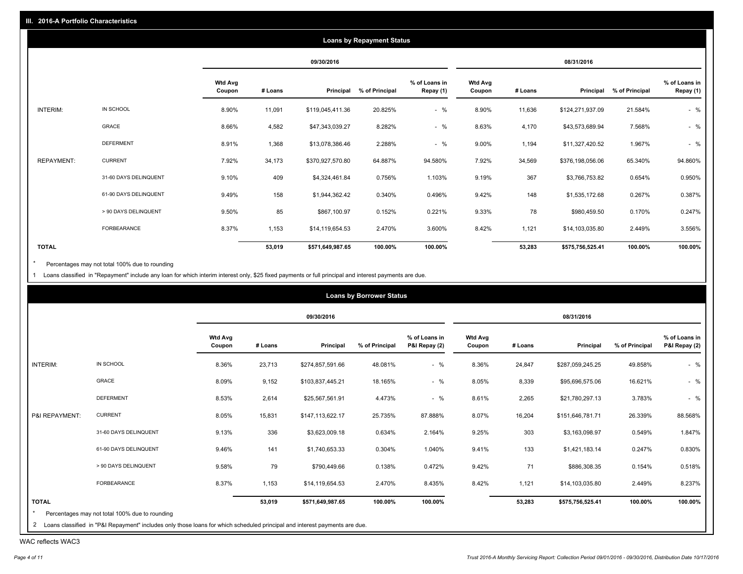|                   |                       |                          |         |                  | <b>Loans by Repayment Status</b> |                            |                          |         |                  |                |                            |
|-------------------|-----------------------|--------------------------|---------|------------------|----------------------------------|----------------------------|--------------------------|---------|------------------|----------------|----------------------------|
|                   |                       |                          |         | 09/30/2016       |                                  |                            |                          |         | 08/31/2016       |                |                            |
|                   |                       | <b>Wtd Avg</b><br>Coupon | # Loans | Principal        | % of Principal                   | % of Loans in<br>Repay (1) | <b>Wtd Avg</b><br>Coupon | # Loans | Principal        | % of Principal | % of Loans in<br>Repay (1) |
| INTERIM:          | IN SCHOOL             | 8.90%                    | 11,091  | \$119,045,411.36 | 20.825%                          | $-$ %                      | 8.90%                    | 11,636  | \$124,271,937.09 | 21.584%        | $-$ %                      |
|                   | GRACE                 | 8.66%                    | 4,582   | \$47,343,039.27  | 8.282%                           | $-$ %                      | 8.63%                    | 4,170   | \$43,573,689.94  | 7.568%         | $-$ %                      |
|                   | <b>DEFERMENT</b>      | 8.91%                    | 1,368   | \$13,078,386.46  | 2.288%                           | $-$ %                      | 9.00%                    | 1,194   | \$11,327,420.52  | 1.967%         | $-$ %                      |
| <b>REPAYMENT:</b> | <b>CURRENT</b>        | 7.92%                    | 34,173  | \$370,927,570.80 | 64.887%                          | 94.580%                    | 7.92%                    | 34,569  | \$376,198,056.06 | 65.340%        | 94.860%                    |
|                   | 31-60 DAYS DELINQUENT | 9.10%                    | 409     | \$4,324,461.84   | 0.756%                           | 1.103%                     | 9.19%                    | 367     | \$3,766,753.82   | 0.654%         | 0.950%                     |
|                   | 61-90 DAYS DELINQUENT | 9.49%                    | 158     | \$1,944,362.42   | 0.340%                           | 0.496%                     | 9.42%                    | 148     | \$1,535,172.68   | 0.267%         | 0.387%                     |
|                   | > 90 DAYS DELINQUENT  | 9.50%                    | 85      | \$867,100.97     | 0.152%                           | 0.221%                     | 9.33%                    | 78      | \$980,459.50     | 0.170%         | 0.247%                     |
|                   | <b>FORBEARANCE</b>    | 8.37%                    | 1,153   | \$14,119,654.53  | 2.470%                           | 3.600%                     | 8.42%                    | 1,121   | \$14,103,035.80  | 2.449%         | 3.556%                     |
| <b>TOTAL</b>      |                       |                          | 53,019  | \$571,649,987.65 | 100.00%                          | 100.00%                    |                          | 53,283  | \$575,756,525.41 | 100.00%        | 100.00%                    |

Percentages may not total 100% due to rounding  $^\star$ 

1 Loans classified in "Repayment" include any loan for which interim interest only, \$25 fixed payments or full principal and interest payments are due.

|                |                       |                          |         | 09/30/2016       |                |                                |                          |         | 08/31/2016       |                |                                |
|----------------|-----------------------|--------------------------|---------|------------------|----------------|--------------------------------|--------------------------|---------|------------------|----------------|--------------------------------|
|                |                       | <b>Wtd Avg</b><br>Coupon | # Loans | Principal        | % of Principal | % of Loans in<br>P&I Repay (2) | <b>Wtd Avg</b><br>Coupon | # Loans | Principal        | % of Principal | % of Loans in<br>P&I Repay (2) |
| INTERIM:       | IN SCHOOL             | 8.36%                    | 23,713  | \$274,857,591.66 | 48.081%        | $-$ %                          | 8.36%                    | 24,847  | \$287,059,245.25 | 49.858%        | $-$ %                          |
|                | GRACE                 | 8.09%                    | 9,152   | \$103,837,445.21 | 18.165%        | $-$ %                          | 8.05%                    | 8,339   | \$95,696,575.06  | 16.621%        | $-$ %                          |
|                | <b>DEFERMENT</b>      | 8.53%                    | 2,614   | \$25,567,561.91  | 4.473%         | $-$ %                          | 8.61%                    | 2,265   | \$21,780,297.13  | 3.783%         | $-$ %                          |
| P&I REPAYMENT: | <b>CURRENT</b>        | 8.05%                    | 15,831  | \$147,113,622.17 | 25.735%        | 87.888%                        | 8.07%                    | 16,204  | \$151,646,781.71 | 26.339%        | 88.568%                        |
|                | 31-60 DAYS DELINQUENT | 9.13%                    | 336     | \$3,623,009.18   | 0.634%         | 2.164%                         | 9.25%                    | 303     | \$3,163,098.97   | 0.549%         | 1.847%                         |
|                | 61-90 DAYS DELINQUENT | 9.46%                    | 141     | \$1,740,653.33   | 0.304%         | 1.040%                         | 9.41%                    | 133     | \$1,421,183.14   | 0.247%         | 0.830%                         |
|                | > 90 DAYS DELINQUENT  | 9.58%                    | 79      | \$790,449.66     | 0.138%         | 0.472%                         | 9.42%                    | 71      | \$886,308.35     | 0.154%         | 0.518%                         |
|                | FORBEARANCE           | 8.37%                    | 1,153   | \$14,119,654.53  | 2.470%         | 8.435%                         | 8.42%                    | 1,121   | \$14,103,035.80  | 2.449%         | 8.237%                         |
| <b>TOTAL</b>   |                       |                          | 53,019  | \$571,649,987.65 | 100.00%        | 100.00%                        |                          | 53,283  | \$575,756,525.41 | 100.00%        | 100.00%                        |

<sup>2</sup> Loans classified in "P&I Repayment" includes only those loans for which scheduled principal and interest payments are due.

WAC reflects WAC3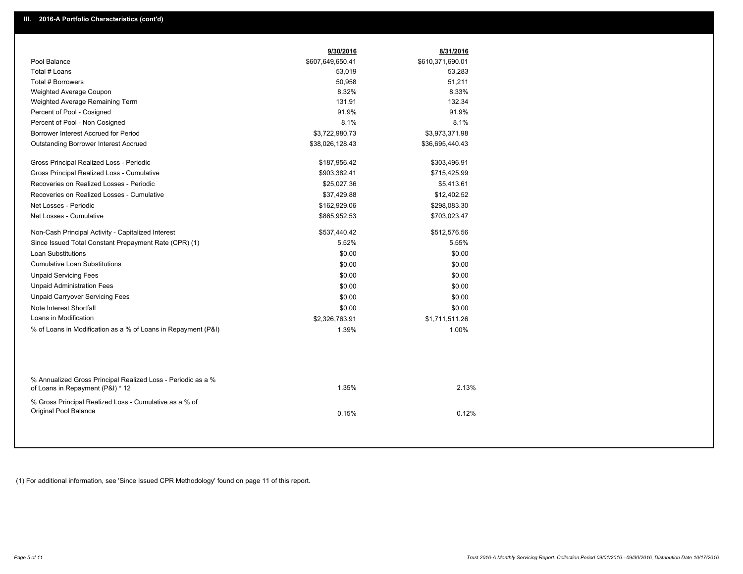|                                                                                                  | 9/30/2016        | 8/31/2016        |  |
|--------------------------------------------------------------------------------------------------|------------------|------------------|--|
| Pool Balance                                                                                     | \$607,649,650.41 | \$610,371,690.01 |  |
| Total # Loans                                                                                    | 53,019           | 53,283           |  |
| Total # Borrowers                                                                                | 50,958           | 51,211           |  |
| Weighted Average Coupon                                                                          | 8.32%            | 8.33%            |  |
| Weighted Average Remaining Term                                                                  | 131.91           | 132.34           |  |
| Percent of Pool - Cosigned                                                                       | 91.9%            | 91.9%            |  |
| Percent of Pool - Non Cosigned                                                                   | 8.1%             | 8.1%             |  |
| Borrower Interest Accrued for Period                                                             | \$3,722,980.73   | \$3,973,371.98   |  |
| <b>Outstanding Borrower Interest Accrued</b>                                                     | \$38,026,128.43  | \$36,695,440.43  |  |
| Gross Principal Realized Loss - Periodic                                                         | \$187,956.42     | \$303,496.91     |  |
| Gross Principal Realized Loss - Cumulative                                                       | \$903,382.41     | \$715,425.99     |  |
| Recoveries on Realized Losses - Periodic                                                         | \$25,027.36      | \$5,413.61       |  |
| Recoveries on Realized Losses - Cumulative                                                       | \$37,429.88      | \$12,402.52      |  |
| Net Losses - Periodic                                                                            | \$162,929.06     | \$298,083.30     |  |
| Net Losses - Cumulative                                                                          | \$865,952.53     | \$703,023.47     |  |
| Non-Cash Principal Activity - Capitalized Interest                                               | \$537,440.42     | \$512,576.56     |  |
| Since Issued Total Constant Prepayment Rate (CPR) (1)                                            | 5.52%            | 5.55%            |  |
| <b>Loan Substitutions</b>                                                                        | \$0.00           | \$0.00           |  |
| <b>Cumulative Loan Substitutions</b>                                                             | \$0.00           | \$0.00           |  |
| <b>Unpaid Servicing Fees</b>                                                                     | \$0.00           | \$0.00           |  |
| <b>Unpaid Administration Fees</b>                                                                | \$0.00           | \$0.00           |  |
| <b>Unpaid Carryover Servicing Fees</b>                                                           | \$0.00           | \$0.00           |  |
| Note Interest Shortfall                                                                          | \$0.00           | \$0.00           |  |
| Loans in Modification                                                                            | \$2,326,763.91   | \$1,711,511.26   |  |
| % of Loans in Modification as a % of Loans in Repayment (P&I)                                    | 1.39%            | 1.00%            |  |
|                                                                                                  |                  |                  |  |
| % Annualized Gross Principal Realized Loss - Periodic as a %<br>of Loans in Repayment (P&I) * 12 | 1.35%            | 2.13%            |  |
| % Gross Principal Realized Loss - Cumulative as a % of<br>Original Pool Balance                  | 0.15%            | 0.12%            |  |

(1) For additional information, see 'Since Issued CPR Methodology' found on page 11 of this report.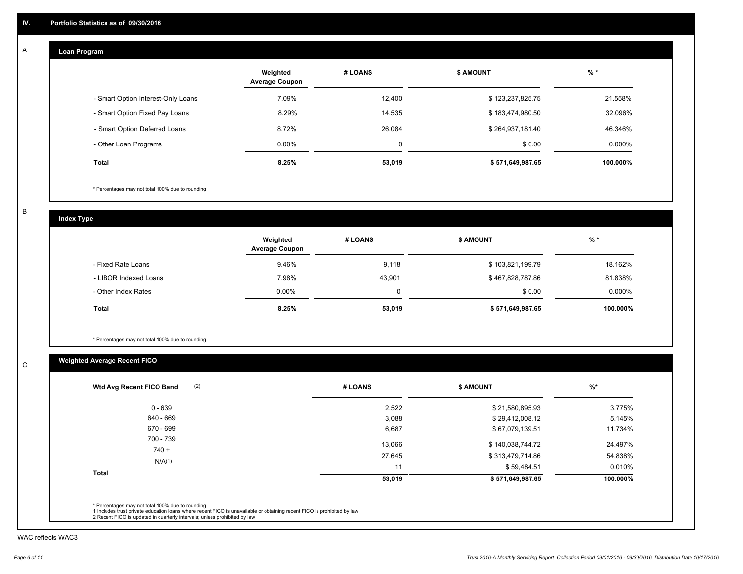#### **Loan Program**  A

|                                    | Weighted<br><b>Average Coupon</b> | # LOANS | <b>\$ AMOUNT</b> | $%$ *     |
|------------------------------------|-----------------------------------|---------|------------------|-----------|
| - Smart Option Interest-Only Loans | 7.09%                             | 12.400  | \$123,237,825.75 | 21.558%   |
| - Smart Option Fixed Pay Loans     | 8.29%                             | 14,535  | \$183,474,980.50 | 32.096%   |
| - Smart Option Deferred Loans      | 8.72%                             | 26.084  | \$264,937,181.40 | 46.346%   |
| - Other Loan Programs              | $0.00\%$                          |         | \$0.00           | $0.000\%$ |
| <b>Total</b>                       | 8.25%                             | 53,019  | \$571,649,987.65 | 100.000%  |

\* Percentages may not total 100% due to rounding

B

C

**Index Type**

|                       | Weighted<br><b>Average Coupon</b> | # LOANS | <b>\$ AMOUNT</b> | $%$ *    |
|-----------------------|-----------------------------------|---------|------------------|----------|
| - Fixed Rate Loans    | 9.46%                             | 9,118   | \$103,821,199.79 | 18.162%  |
| - LIBOR Indexed Loans | 7.98%                             | 43.901  | \$467,828,787.86 | 81.838%  |
| - Other Index Rates   | $0.00\%$                          |         | \$0.00           | 0.000%   |
| <b>Total</b>          | 8.25%                             | 53,019  | \$571,649,987.65 | 100.000% |

\* Percentages may not total 100% due to rounding

# **Weighted Average Recent FICO**

| $0 - 639$            | 2,522  | \$21,580,895.93  | 3.775%   |
|----------------------|--------|------------------|----------|
| 640 - 669            | 3,088  | \$29,412,008.12  | 5.145%   |
| 670 - 699            | 6,687  | \$67,079,139.51  | 11.734%  |
| 700 - 739<br>$740 +$ | 13,066 | \$140,038,744.72 | 24.497%  |
|                      | 27,645 | \$313,479,714.86 | 54.838%  |
| N/A(1)               | 11     | \$59,484.51      | 0.010%   |
| Total                | 53,019 | \$571,649,987.65 | 100.000% |

WAC reflects WAC3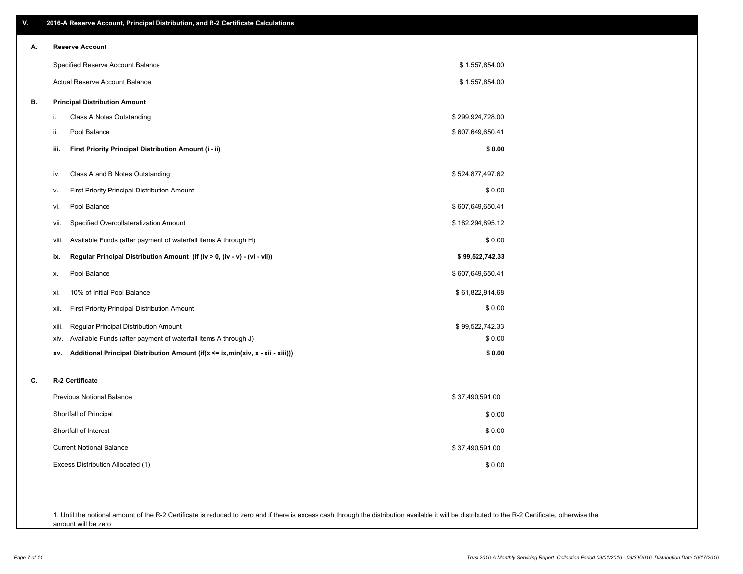| ۷. | 2016-A Reserve Account, Principal Distribution, and R-2 Certificate Calculations       |                  |
|----|----------------------------------------------------------------------------------------|------------------|
| А. | <b>Reserve Account</b>                                                                 |                  |
|    | Specified Reserve Account Balance                                                      | \$1,557,854.00   |
|    | Actual Reserve Account Balance                                                         | \$1,557,854.00   |
| В. | <b>Principal Distribution Amount</b>                                                   |                  |
|    | Class A Notes Outstanding<br>i.                                                        | \$299,924,728.00 |
|    | ii.<br>Pool Balance                                                                    | \$607,649,650.41 |
|    | First Priority Principal Distribution Amount (i - ii)<br>iii.                          | \$0.00           |
|    | Class A and B Notes Outstanding<br>iv.                                                 | \$524,877,497.62 |
|    | <b>First Priority Principal Distribution Amount</b><br>v.                              | \$0.00           |
|    | Pool Balance<br>vi.                                                                    | \$607,649,650.41 |
|    | Specified Overcollateralization Amount<br>vii.                                         | \$182,294,895.12 |
|    | Available Funds (after payment of waterfall items A through H)<br>viii.                | \$0.00           |
|    | Regular Principal Distribution Amount (if (iv > 0, (iv - v) - (vi - vii))<br>ix.       | \$99,522,742.33  |
|    | Pool Balance<br>х.                                                                     | \$607,649,650.41 |
|    | 10% of Initial Pool Balance<br>xi.                                                     | \$61,822,914.68  |
|    | <b>First Priority Principal Distribution Amount</b><br>xii.                            | \$0.00           |
|    | Regular Principal Distribution Amount<br>xiii.                                         | \$99,522,742.33  |
|    | Available Funds (after payment of waterfall items A through J)<br>xiv.                 | \$0.00           |
|    | Additional Principal Distribution Amount (if(x <= ix,min(xiv, x - xii - xiii)))<br>XV. | \$0.00           |
| C. | R-2 Certificate                                                                        |                  |
|    | <b>Previous Notional Balance</b>                                                       | \$37,490,591.00  |
|    | Shortfall of Principal                                                                 | \$0.00           |
|    | Shortfall of Interest                                                                  | \$0.00           |
|    | <b>Current Notional Balance</b>                                                        | \$37,490,591.00  |
|    | Excess Distribution Allocated (1)                                                      | \$0.00           |
|    |                                                                                        |                  |
|    |                                                                                        |                  |

1. Until the notional amount of the R-2 Certificate is reduced to zero and if there is excess cash through the distribution available it will be distributed to the R-2 Certificate, otherwise the amount will be zero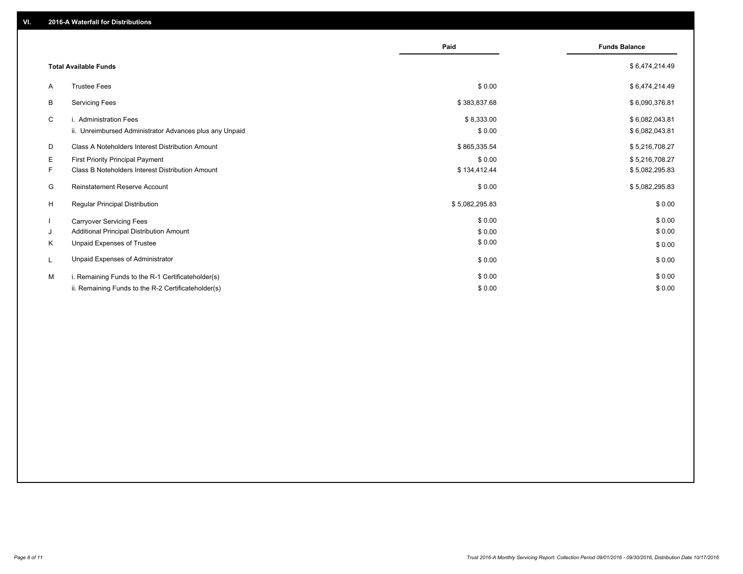|    |                                                         | Paid           | <b>Funds Balance</b> |
|----|---------------------------------------------------------|----------------|----------------------|
|    | <b>Total Available Funds</b>                            |                | \$6,474,214.49       |
| A  | <b>Trustee Fees</b>                                     | \$0.00         | \$6,474,214.49       |
| B  | <b>Servicing Fees</b>                                   | \$383,837.68   | \$6,090,376.81       |
| C  | i. Administration Fees                                  | \$8,333.00     | \$6,082,043.81       |
|    | ii. Unreimbursed Administrator Advances plus any Unpaid | \$0.00         | \$6,082,043.81       |
| D  | Class A Noteholders Interest Distribution Amount        | \$865,335.54   | \$5,216,708.27       |
| Е  | <b>First Priority Principal Payment</b>                 | \$0.00         | \$5,216,708.27       |
| F. | Class B Noteholders Interest Distribution Amount        | \$134,412.44   | \$5,082,295.83       |
| G  | Reinstatement Reserve Account                           | \$0.00         | \$5,082,295.83       |
| H  | <b>Regular Principal Distribution</b>                   | \$5,082,295.83 | \$0.00               |
|    | <b>Carryover Servicing Fees</b>                         | \$0.00         | \$0.00               |
| J  | Additional Principal Distribution Amount                | \$0.00         | \$0.00               |
| K  | Unpaid Expenses of Trustee                              | \$0.00         | \$0.00               |
|    | Unpaid Expenses of Administrator                        | \$0.00         | \$0.00               |
| м  | i. Remaining Funds to the R-1 Certificateholder(s)      | \$0.00         | \$0.00               |
|    | ii. Remaining Funds to the R-2 Certificateholder(s)     | \$0.00         | \$0.00               |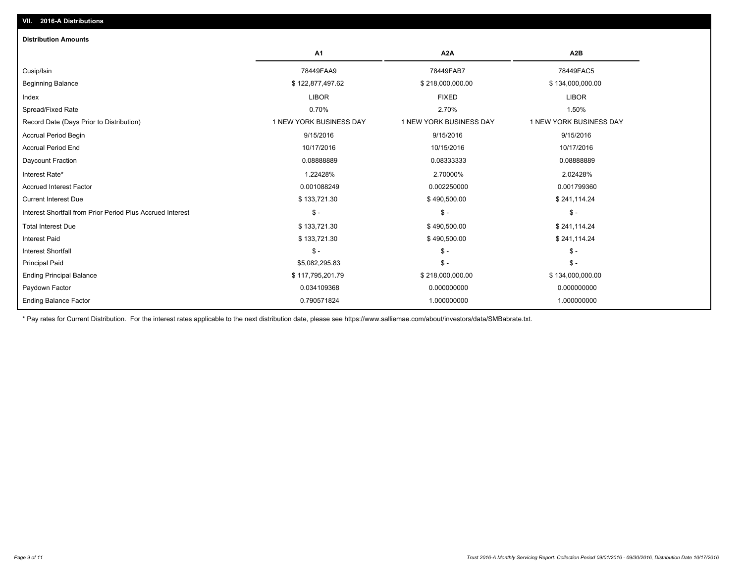| A1                      | A <sub>2</sub> A        | A <sub>2</sub> B        |
|-------------------------|-------------------------|-------------------------|
| 78449FAA9               | 78449FAB7               | 78449FAC5               |
| \$122,877,497.62        | \$218,000,000.00        | \$134,000,000.00        |
| <b>LIBOR</b>            | <b>FIXED</b>            | <b>LIBOR</b>            |
| 0.70%                   | 2.70%                   | 1.50%                   |
| 1 NEW YORK BUSINESS DAY | 1 NEW YORK BUSINESS DAY | 1 NEW YORK BUSINESS DAY |
| 9/15/2016               | 9/15/2016               | 9/15/2016               |
| 10/17/2016              | 10/15/2016              | 10/17/2016              |
| 0.08888889              | 0.08333333              | 0.0888889               |
| 1.22428%                | 2.70000%                | 2.02428%                |
| 0.001088249             | 0.002250000             | 0.001799360             |
| \$133,721.30            | \$490,500.00            | \$241,114.24            |
| $\mathsf{\$}$ -         | $\mathsf{\$}$ -         | $\mathsf{\$}$ -         |
| \$133,721.30            | \$490,500.00            | \$241,114.24            |
| \$133,721.30            | \$490,500.00            | \$241,114.24            |
| $\mathsf{\$}$ -         | $\mathsf{\$}$ -         | $S -$                   |
| \$5,082,295.83          | $\mathsf{\$}$ -         | $S -$                   |
| \$117,795,201.79        | \$218,000,000.00        | \$134,000,000.00        |
| 0.034109368             | 0.000000000             | 0.000000000             |
| 0.790571824             | 1.000000000             | 1.000000000             |
|                         |                         |                         |

\* Pay rates for Current Distribution. For the interest rates applicable to the next distribution date, please see https://www.salliemae.com/about/investors/data/SMBabrate.txt.

**VII. 2016-A Distributions**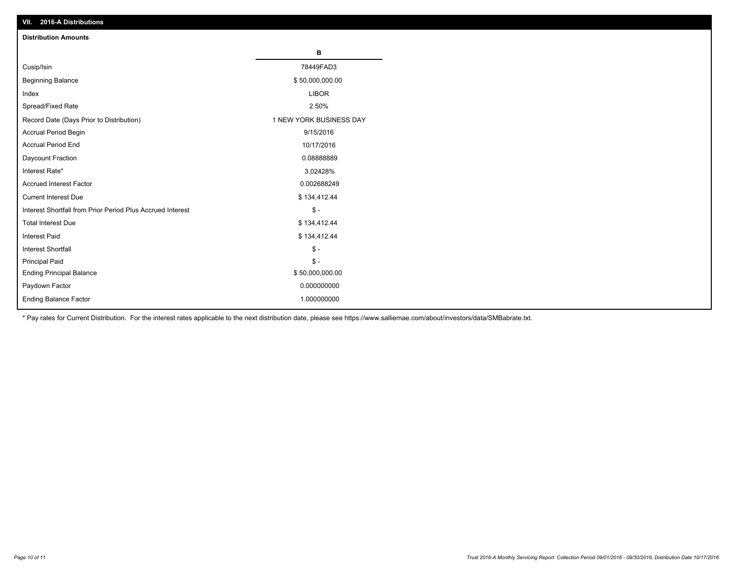| VII. 2016-A Distributions                                  |                         |
|------------------------------------------------------------|-------------------------|
| <b>Distribution Amounts</b>                                |                         |
|                                                            | в                       |
| Cusip/Isin                                                 | 78449FAD3               |
| <b>Beginning Balance</b>                                   | \$50,000,000.00         |
| Index                                                      | <b>LIBOR</b>            |
| Spread/Fixed Rate                                          | 2.50%                   |
| Record Date (Days Prior to Distribution)                   | 1 NEW YORK BUSINESS DAY |
| Accrual Period Begin                                       | 9/15/2016               |
| <b>Accrual Period End</b>                                  | 10/17/2016              |
| Daycount Fraction                                          | 0.0888889               |
| Interest Rate*                                             | 3.02428%                |
| <b>Accrued Interest Factor</b>                             | 0.002688249             |
| <b>Current Interest Due</b>                                | \$134,412.44            |
| Interest Shortfall from Prior Period Plus Accrued Interest | $\mathcal{S}$ -         |
| <b>Total Interest Due</b>                                  | \$134,412.44            |
| <b>Interest Paid</b>                                       | \$134,412.44            |
| <b>Interest Shortfall</b>                                  | $\mathbb{S}$ -          |
| <b>Principal Paid</b>                                      | $\mathsf{\$}$ -         |
| <b>Ending Principal Balance</b>                            | \$50,000,000.00         |
| Paydown Factor                                             | 0.000000000             |
| <b>Ending Balance Factor</b>                               | 1.000000000             |

\* Pay rates for Current Distribution. For the interest rates applicable to the next distribution date, please see https://www.salliemae.com/about/investors/data/SMBabrate.txt.